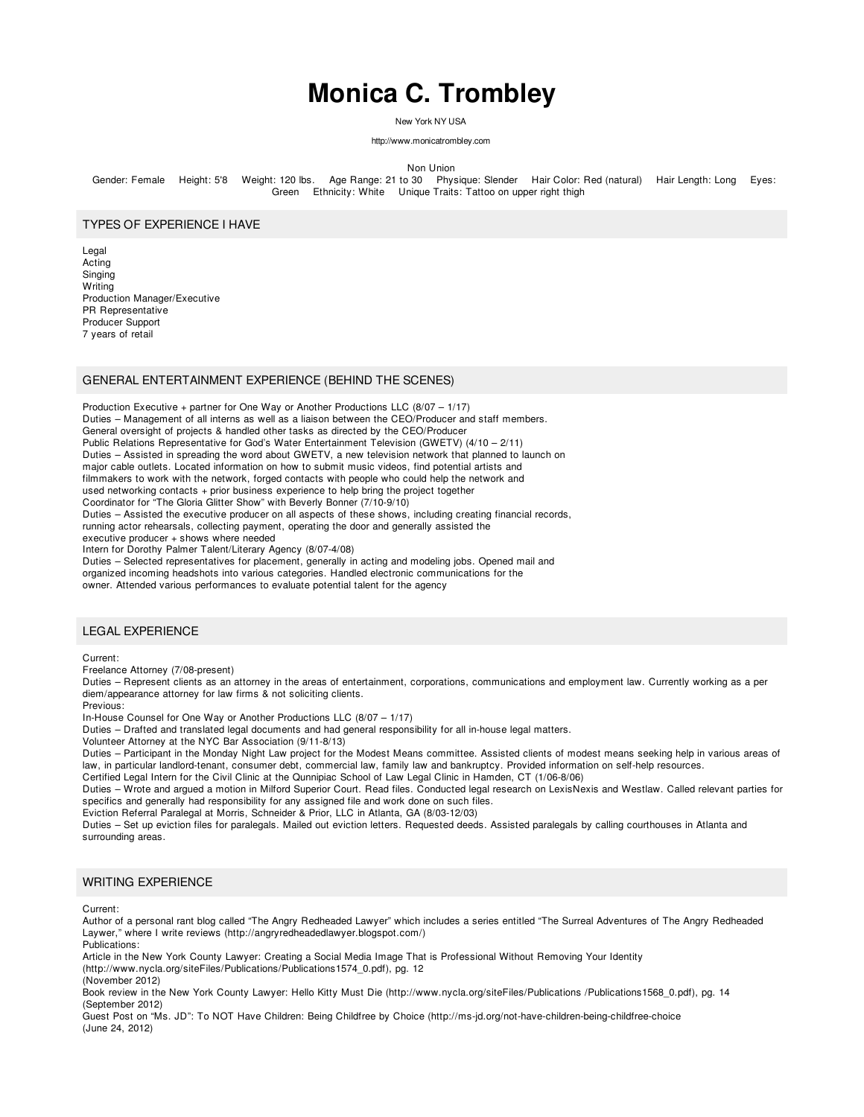# **Monica C. Trombley**

New York NY USA

http://www.monicatrombley.com

Non Union

Gender: Female Height: 5'8 Weight: 120 lbs. Age Range: 21 to 30 Physique: Slender Hair Color: Red (natural) Hair Length: Long Eyes: Green Ethnicity: White Unique Traits: Tattoo on upper right thigh

#### TYPES OF EXPERIENCE I HAVE

Legal Acting Singing **Writing** Production Manager/Executive PR Representative Producer Support 7 years of retail

## GENERAL ENTERTAINMENT EXPERIENCE (BEHIND THE SCENES)

Production Executive + partner for One Way or Another Productions LLC (8/07 – 1/17) Duties – Management of all interns as well as a liaison between the CEO/Producer and staff members. General oversight of projects & handled other tasks as directed by the CEO/Producer Public Relations Representative for God's Water Entertainment Television (GWETV) (4/10 – 2/11) Duties – Assisted in spreading the word about GWETV, a new television network that planned to launch on major cable outlets. Located information on how to submit music videos, find potential artists and filmmakers to work with the network, forged contacts with people who could help the network and used networking contacts + prior business experience to help bring the project together Coordinator for "The Gloria Glitter Show" with Beverly Bonner (7/10-9/10) Duties – Assisted the executive producer on all aspects of these shows, including creating financial records, running actor rehearsals, collecting payment, operating the door and generally assisted the executive producer + shows where needed Intern for Dorothy Palmer Talent/Literary Agency (8/07-4/08)

Duties – Selected representatives for placement, generally in acting and modeling jobs. Opened mail and

organized incoming headshots into various categories. Handled electronic communications for the

owner. Attended various performances to evaluate potential talent for the agency

## LEGAL EXPERIENCE

Current:

Freelance Attorney (7/08-present)

Duties – Represent clients as an attorney in the areas of entertainment, corporations, communications and employment law. Currently working as a per diem/appearance attorney for law firms & not soliciting clients.

Previous:

In-House Counsel for One Way or Another Productions LLC (8/07 – 1/17)

Duties – Drafted and translated legal documents and had general responsibility for all in-house legal matters.

Volunteer Attorney at the NYC Bar Association (9/11-8/13)

Duties – Participant in the Monday Night Law project for the Modest Means committee. Assisted clients of modest means seeking help in various areas of law, in particular landlord-tenant, consumer debt, commercial law, family law and bankruptcy. Provided information on self-help resources.

Certified Legal Intern for the Civil Clinic at the Qunnipiac School of Law Legal Clinic in Hamden, CT (1/06-8/06)

Duties – Wrote and argued a motion in Milford Superior Court. Read files. Conducted legal research on LexisNexis and Westlaw. Called relevant parties for specifics and generally had responsibility for any assigned file and work done on such files.

Eviction Referral Paralegal at Morris, Schneider & Prior, LLC in Atlanta, GA (8/03-12/03)

Duties – Set up eviction files for paralegals. Mailed out eviction letters. Requested deeds. Assisted paralegals by calling courthouses in Atlanta and surrounding areas.

#### WRITING EXPERIENCE

Current:

Author of a personal rant blog called "The Angry Redheaded Lawyer" which includes a series entitled "The Surreal Adventures of The Angry Redheaded Laywer," where I write reviews (http://angryredheadedlawyer.blogspot.com/)

Publications:

Article in the New York County Lawyer: Creating a Social Media Image That is Professional Without Removing Your Identity (http://www.nycla.org/siteFiles/Publications/Publications1574\_0.pdf), pg. 12 (November 2012)

Book review in the New York County Lawyer: Hello Kitty Must Die (http://www.nycla.org/siteFiles/Publications /Publications1568\_0.pdf), pg. 14 (September 2012)

Guest Post on "Ms. JD": To NOT Have Children: Being Childfree by Choice (http://ms-jd.org/not-have-children-being-childfree-choice (June 24, 2012)